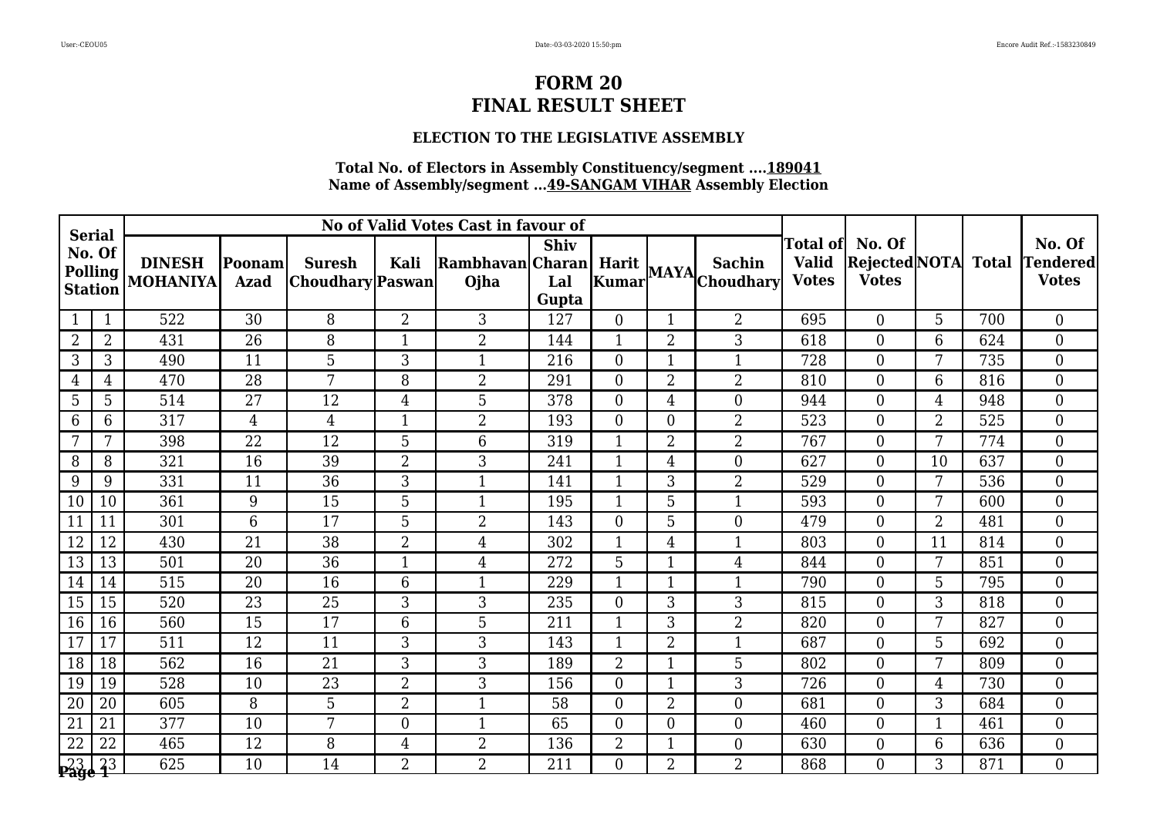### **ELECTION TO THE LEGISLATIVE ASSEMBLY**

|                         |                                  |                                  |                        |                                   |                | No of Valid Votes Cast in favour of |                             |                  |                |                      |                              |                                                  |                |              |                                           |
|-------------------------|----------------------------------|----------------------------------|------------------------|-----------------------------------|----------------|-------------------------------------|-----------------------------|------------------|----------------|----------------------|------------------------------|--------------------------------------------------|----------------|--------------|-------------------------------------------|
| <b>Serial</b><br>No. Of | <b>Polling</b><br><b>Station</b> | <b>DINESH</b><br><b>MOHANIYA</b> | Poonam <br><b>Azad</b> | <b>Suresh</b><br>Choudhary Paswan | <b>Kali</b>    | Rambhavan Charan<br>Ojha            | <b>Shiv</b><br>Lal<br>Gupta |                  |                | Harit MAYA Choudhary | <b>Valid</b><br><b>Votes</b> | Total of No. Of<br>Rejected NOTA<br><b>Votes</b> |                | <b>Total</b> | No. Of<br><b>Tendered</b><br><b>Votes</b> |
|                         | $\mathbf{1}$                     | 522                              | 30                     | 8                                 | $\overline{2}$ | 3                                   | 127                         | $\overline{0}$   |                | $\overline{2}$       | 695                          | $\Omega$                                         | 5              | 700          | $\overline{0}$                            |
| $\overline{2}$          | $\overline{2}$                   | 431                              | 26                     | 8                                 | $\mathbf{1}$   | $\overline{2}$                      | 144                         | $\mathbf{1}$     | $\overline{2}$ | 3                    | 618                          | $\boldsymbol{0}$                                 | 6              | 624          | $\overline{0}$                            |
| 3                       | 3                                | 490                              | 11                     | 5                                 | 3              | $\mathbf{1}$                        | 216                         | $\boldsymbol{0}$ | 1              | $\mathbf{1}$         | 728                          | $\overline{0}$                                   | 7              | 735          | $\overline{0}$                            |
| 4                       | $\overline{4}$                   | 470                              | $\overline{28}$        | 7                                 | 8              | $\overline{2}$                      | 291                         | $\boldsymbol{0}$ | $\overline{2}$ | $\overline{2}$       | 810                          | $\overline{0}$                                   | 6              | 816          | $\overline{0}$                            |
| 5                       | 5                                | 514                              | 27                     | 12                                | $\overline{4}$ | 5                                   | 378                         | $\overline{0}$   | 4              | $\overline{0}$       | 944                          | $\overline{0}$                                   | $\overline{4}$ | 948          | $\overline{0}$                            |
| 6                       | 6                                | 317                              | 4                      | $\overline{4}$                    | -1             | $\overline{2}$                      | 193                         | $\overline{0}$   | $\Omega$       | $\overline{2}$       | 523                          | $\overline{0}$                                   | $\overline{2}$ | 525          | $\overline{0}$                            |
| 7                       | 7                                | 398                              | 22                     | $\overline{12}$                   | 5              | $6\phantom{.}6$                     | 319                         | 1                | $\overline{2}$ | $\overline{2}$       | 767                          | $\Omega$                                         | 7              | 774          | $\overline{0}$                            |
| 8                       | 8                                | 321                              | $\overline{16}$        | $\overline{39}$                   | $\overline{2}$ | 3                                   | 241                         | 1                | $\overline{4}$ | $\overline{0}$       | 627                          | $\overline{0}$                                   | 10             | 637          | $\overline{0}$                            |
| 9                       | 9                                | 331                              | 11                     | 36                                | 3              | $\mathbf{1}$                        | 141                         | $\mathbf{1}$     | 3              | $\overline{2}$       | 529                          | $\overline{0}$                                   | 7              | 536          | $\overline{0}$                            |
| 10                      | 10                               | 361                              | 9                      | 15                                | 5              | $\mathbf{1}$                        | 195                         | $\mathbf 1$      | 5              | $\mathbf{1}$         | 593                          | $\overline{0}$                                   | 7              | 600          | $\overline{0}$                            |
| 11                      | 11                               | 301                              | 6                      | 17                                | 5              | $\overline{2}$                      | 143                         | $\overline{0}$   | 5              | $\overline{0}$       | 479                          | $\overline{0}$                                   | $\overline{2}$ | 481          | $\overline{0}$                            |
| 12                      | 12                               | 430                              | 21                     | 38                                | $\overline{2}$ | $\overline{4}$                      | 302                         |                  | 4              | $\mathbf 1$          | 803                          | $\overline{0}$                                   | 11             | 814          | $\overline{0}$                            |
| 13                      | 13                               | 501                              | $\overline{20}$        | $\overline{36}$                   | $\mathbf{1}$   | 4                                   | 272                         | $\overline{5}$   |                | $\overline{4}$       | 844                          | $\overline{0}$                                   | 7              | 851          | $\overline{0}$                            |
| 14                      | 14                               | 515                              | 20                     | 16                                | 6              | $\mathbf{1}$                        | 229                         | 1                | $\mathbf 1$    | $\mathbf{1}$         | 790                          | $\theta$                                         | 5              | 795          | $\overline{0}$                            |
| 15                      | 15                               | 520                              | 23                     | 25                                | $\mathfrak{Z}$ | 3                                   | 235                         | $\overline{0}$   | 3              | 3                    | 815                          | $\overline{0}$                                   | 3              | 818          | $\overline{0}$                            |
| 16                      | 16                               | 560                              | 15                     | 17                                | 6              | 5                                   | 211                         | 1                | 3              | $\overline{2}$       | 820                          | $\overline{0}$                                   | $\overline{7}$ | 827          | $\overline{0}$                            |
| 17                      | 17                               | 511                              | 12                     | 11                                | 3              | 3                                   | 143                         | 1                | $\overline{2}$ | $\mathbf{1}$         | 687                          | $\Omega$                                         | 5              | 692          | $\overline{0}$                            |
| 18                      | 18                               | 562                              | 16                     | 21                                | 3              | 3                                   | 189                         | $\overline{2}$   |                | 5                    | 802                          | $\overline{0}$                                   | 7              | 809          | $\overline{0}$                            |
| 19                      | 19                               | 528                              | 10                     | 23                                | $\overline{2}$ | 3                                   | 156                         | $\boldsymbol{0}$ |                | 3                    | 726                          | $\overline{0}$                                   | $\overline{4}$ | 730          | $\overline{0}$                            |
| 20                      | 20                               | 605                              | 8                      | 5                                 | $\overline{2}$ | $\mathbf{1}$                        | 58                          | $\boldsymbol{0}$ | $\overline{2}$ | $\boldsymbol{0}$     | 681                          | $\overline{0}$                                   | 3              | 684          | $\overline{0}$                            |
| 21                      | 21                               | 377                              | 10                     | 7                                 | $\theta$       | $\mathbf{1}$                        | 65                          | $\overline{0}$   | $\Omega$       | $\boldsymbol{0}$     | 460                          | $\overline{0}$                                   | $\mathbf{1}$   | 461          | $\overline{0}$                            |
| $\overline{22}$         | 22                               | 465                              | $\overline{12}$        | 8                                 | $\overline{4}$ | $\overline{2}$                      | 136                         | $\overline{2}$   |                | $\boldsymbol{0}$     | 630                          | $\overline{0}$                                   | 6              | 636          | $\overline{0}$                            |
| <b>23 23</b><br>Page 1  |                                  | 625                              | 10                     | 14                                | $\overline{2}$ | $\overline{2}$                      | 211                         | $\overline{0}$   | $\overline{2}$ | $\overline{2}$       | 868                          | $\overline{0}$                                   | 3              | 871          | $\overline{0}$                            |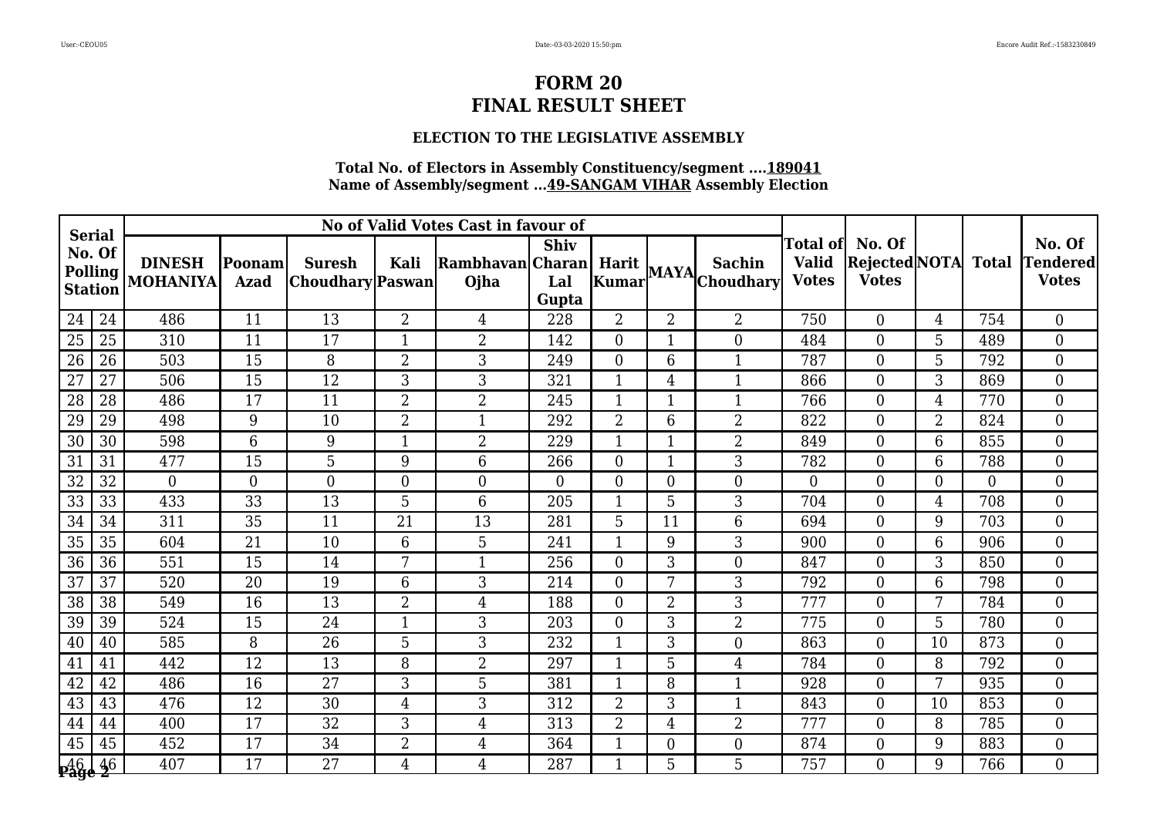### **ELECTION TO THE LEGISLATIVE ASSEMBLY**

|                                           |                |                                  |                              |                                   |                | No of Valid Votes Cast in favour of |                             |                |                |                                 |                              |                                                          |                |              |                                    |
|-------------------------------------------|----------------|----------------------------------|------------------------------|-----------------------------------|----------------|-------------------------------------|-----------------------------|----------------|----------------|---------------------------------|------------------------------|----------------------------------------------------------|----------------|--------------|------------------------------------|
| <b>Serial</b><br>No. Of<br><b>Station</b> | <b>Polling</b> | <b>DINESH</b><br><b>MOHANIYA</b> | <b>Poonam</b><br><b>Azad</b> | <b>Suresh</b><br>Choudhary Paswan | Kali           | Rambhavan Charan Harit<br>Ojha      | <b>Shiv</b><br>Lal<br>Gupta | Kumar          |                | <b>Sachin</b><br>MAYA Choudhary | <b>Valid</b><br><b>Votes</b> | Total of  No. Of<br><b>Rejected NOTA</b><br><b>Votes</b> |                | <b>Total</b> | No. Of<br>Tendered<br><b>Votes</b> |
| 24                                        | 24             | 486                              | 11                           | 13                                | $\overline{2}$ | $\overline{4}$                      | 228                         | $\overline{2}$ | $\overline{2}$ | $\overline{2}$                  | 750                          | $\overline{0}$                                           | 4              | 754          | $\overline{0}$                     |
| 25                                        | 25             | 310                              | 11                           | 17                                | $\mathbf{1}$   | $\overline{2}$                      | 142                         | $\overline{0}$ | 1              | $\mathbf{0}$                    | 484                          | $\overline{0}$                                           | 5              | 489          | $\overline{0}$                     |
| 26                                        | 26             | 503                              | 15                           | 8                                 | $\overline{2}$ | 3                                   | 249                         | $\Omega$       | 6              | $\mathbf{1}$                    | 787                          | $\overline{0}$                                           | 5              | 792          | $\overline{0}$                     |
| 27                                        | 27             | 506                              | 15                           | 12                                | 3              | 3                                   | 321                         | 1              | 4              | $\mathbf{1}$                    | 866                          | $\overline{0}$                                           | 3              | 869          | $\overline{0}$                     |
| 28                                        | 28             | 486                              | 17                           | 11                                | $\overline{2}$ | 2                                   | 245                         | 1              | 1              | $\mathbf{1}$                    | 766                          | $\overline{0}$                                           | $\overline{4}$ | 770          | $\overline{0}$                     |
| 29                                        | 29             | 498                              | 9                            | 10                                | $\overline{2}$ | $\mathbf{1}$                        | 292                         | $\overline{2}$ | 6              | $\overline{2}$                  | 822                          | $\overline{0}$                                           | $\overline{2}$ | 824          | $\overline{0}$                     |
| 30                                        | 30             | 598                              | 6                            | 9                                 | $\mathbf{1}$   | 2                                   | 229                         | 1              | 1              | $\overline{2}$                  | 849                          | $\overline{0}$                                           | 6              | 855          | $\overline{0}$                     |
| $\overline{31}$                           | 31             | 477                              | $\overline{15}$              | $\overline{5}$                    | 9              | 6                                   | 266                         | $\overline{0}$ | $\mathbf{1}$   | 3                               | 782                          | $\overline{0}$                                           | 6              | 788          | $\overline{0}$                     |
| 32                                        | 32             | $\overline{0}$                   | $\theta$                     | $\overline{0}$                    | $\overline{0}$ | $\boldsymbol{0}$                    | $\Omega$                    | $\Omega$       | $\Omega$       | $\overline{0}$                  | $\Omega$                     | $\overline{0}$                                           | $\Omega$       | $\Omega$     | $\overline{0}$                     |
| 33                                        | 33             | 433                              | 33                           | 13                                | 5              | $6\phantom{1}6$                     | 205                         | 1              | 5              | 3                               | 704                          | $\overline{0}$                                           | $\overline{4}$ | 708          | $\overline{0}$                     |
| 34                                        | 34             | 311                              | 35                           | 11                                | 21             | 13                                  | 281                         | 5              | 11             | 6                               | 694                          | $\Omega$                                                 | 9              | 703          | $\overline{0}$                     |
| 35                                        | 35             | 604                              | 21                           | 10                                | 6              | 5                                   | 241                         | 1              | 9              | 3                               | 900                          | $\overline{0}$                                           | 6              | 906          | $\overline{0}$                     |
| 36                                        | 36             | 551                              | $\overline{15}$              | 14                                | $7\phantom{.}$ | $\mathbf{1}$                        | 256                         | $\overline{0}$ | 3              | $\boldsymbol{0}$                | 847                          | $\overline{0}$                                           | 3              | 850          | $\overline{0}$                     |
| 37                                        | 37             | 520                              | 20                           | 19                                | 6              | 3                                   | 214                         | $\Omega$       | 7              | 3                               | 792                          | $\Omega$                                                 | 6              | 798          | $\overline{0}$                     |
| 38                                        | 38             | 549                              | 16                           | 13                                | $\overline{2}$ | $\overline{4}$                      | 188                         | $\overline{0}$ | 2              | 3                               | 777                          | $\overline{0}$                                           | 7              | 784          | $\overline{0}$                     |
| 39                                        | 39             | 524                              | 15                           | 24                                | $\mathbf{1}$   | 3                                   | 203                         | $\overline{0}$ | 3              | $\overline{2}$                  | 775                          | $\overline{0}$                                           | 5              | 780          | $\overline{0}$                     |
| 40                                        | 40             | 585                              | 8                            | 26                                | 5              | 3                                   | 232                         | 1              | 3              | $\overline{0}$                  | 863                          | $\Omega$                                                 | 10             | 873          | $\overline{0}$                     |
| 41                                        | 41             | 442                              | 12                           | 13                                | 8              | 2                                   | 297                         | 1              | 5              | $\overline{4}$                  | 784                          | $\overline{0}$                                           | 8              | 792          | $\overline{0}$                     |
| 42                                        | 42             | 486                              | 16                           | 27                                | 3              | 5                                   | 381                         | 1              | 8              | $\mathbf{1}$                    | 928                          | $\overline{0}$                                           | 7              | 935          | $\overline{0}$                     |
| 43                                        | 43             | 476                              | 12                           | 30                                | 4              | 3                                   | 312                         | $\overline{2}$ | 3              | $\mathbf{1}$                    | 843                          | $\overline{0}$                                           | 10             | 853          | $\overline{0}$                     |
| 44                                        | 44             | 400                              | 17                           | 32                                | 3              | 4                                   | 313                         | $\overline{2}$ | 4              | $\overline{2}$                  | 777                          | $\overline{0}$                                           | 8              | 785          | $\overline{0}$                     |
| 45                                        | 45             | 452                              | 17                           | 34                                | $\overline{2}$ | 4                                   | 364                         | 1              | $\overline{0}$ | $\boldsymbol{0}$                | 874                          | $\overline{0}$                                           | 9              | 883          | $\overline{0}$                     |
| <b>16 46</b><br>Page 2                    |                | 407                              | 17                           | 27                                | 4              | 4                                   | 287                         | 1              | 5              | 5                               | 757                          | $\overline{0}$                                           | 9              | 766          | $\overline{0}$                     |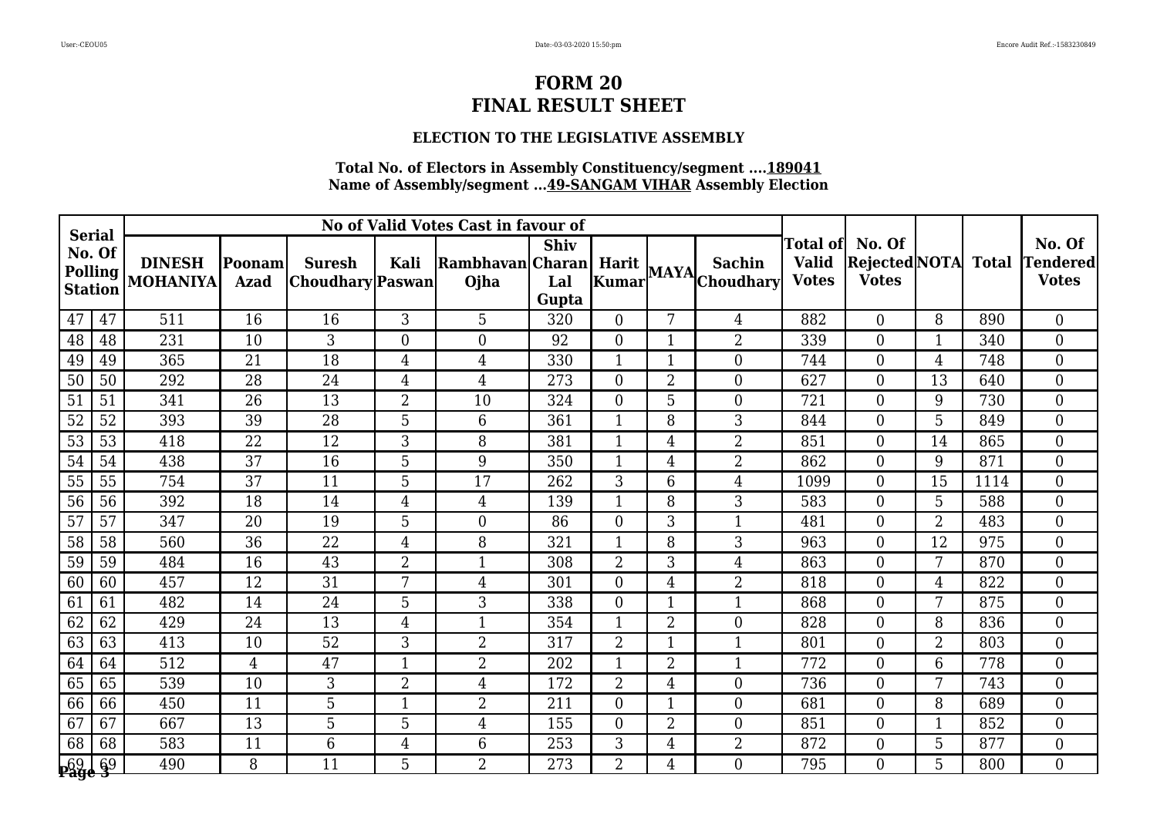### **ELECTION TO THE LEGISLATIVE ASSEMBLY**

|                                                             |    |                                  |                              |                                   |                  | No of Valid Votes Cast in favour of |                             |                |                |                      |                                           |                                         |                |              |                                           |
|-------------------------------------------------------------|----|----------------------------------|------------------------------|-----------------------------------|------------------|-------------------------------------|-----------------------------|----------------|----------------|----------------------|-------------------------------------------|-----------------------------------------|----------------|--------------|-------------------------------------------|
| <b>Serial</b><br>No. Of<br><b>Polling</b><br><b>Station</b> |    | <b>DINESH</b><br><b>MOHANIYA</b> | <b>Poonam</b><br><b>Azad</b> | <b>Suresh</b><br>Choudhary Paswan | Kali             | Rambhavan Charan<br>Ojha            | <b>Shiv</b><br>Lal<br>Gupta |                |                | Harit MAYA Choudhary | Total of <br><b>Valid</b><br><b>Votes</b> | No. Of<br>Rejected NOTA<br><b>Votes</b> |                | <b>Total</b> | No. Of<br><b>Tendered</b><br><b>Votes</b> |
| 47                                                          | 47 | 511                              | 16                           | 16                                | 3                | 5                                   | 320                         | $\overline{0}$ | 7              | 4                    | 882                                       | $\Omega$                                | 8              | 890          | $\overline{0}$                            |
| 48                                                          | 48 | 231                              | 10                           | 3                                 | $\boldsymbol{0}$ | $\boldsymbol{0}$                    | 92                          | $\overline{0}$ | 1              | $\overline{2}$       | 339                                       | $\boldsymbol{0}$                        | $\mathbf{1}$   | 340          | $\overline{0}$                            |
| 49                                                          | 49 | 365                              | 21                           | 18                                | $\overline{4}$   | 4                                   | 330                         | $\mathbf{1}$   | $\mathbf{1}$   | $\boldsymbol{0}$     | 744                                       | $\overline{0}$                          | $\overline{4}$ | 748          | $\overline{0}$                            |
| 50                                                          | 50 | 292                              | $\overline{28}$              | 24                                | $\overline{4}$   | $\overline{4}$                      | 273                         | $\overline{0}$ | $\overline{2}$ | $\boldsymbol{0}$     | 627                                       | $\overline{0}$                          | 13             | 640          | $\overline{0}$                            |
| 51                                                          | 51 | 341                              | 26                           | 13                                | $\overline{2}$   | 10                                  | 324                         | $\overline{0}$ | 5              | $\overline{0}$       | 721                                       | $\overline{0}$                          | 9              | 730          | $\overline{0}$                            |
| 52                                                          | 52 | 393                              | 39                           | 28                                | 5                | $6\phantom{.}6$                     | 361                         | 1              | 8              | 3                    | 844                                       | $\overline{0}$                          | 5              | 849          | $\overline{0}$                            |
| 53                                                          | 53 | 418                              | 22                           | 12                                | 3                | 8                                   | 381                         | 1              | 4              | $\overline{2}$       | 851                                       | $\overline{0}$                          | 14             | 865          | $\overline{0}$                            |
| 54                                                          | 54 | 438                              | $\overline{37}$              | $\overline{16}$                   | 5                | 9                                   | 350                         | 1              | 4              | $\overline{2}$       | 862                                       | $\overline{0}$                          | 9              | 871          | $\overline{0}$                            |
| 55                                                          | 55 | 754                              | 37                           | 11                                | 5                | 17                                  | 262                         | 3              | 6              | $\overline{4}$       | 1099                                      | $\overline{0}$                          | 15             | 1114         | $\overline{0}$                            |
| 56                                                          | 56 | 392                              | 18                           | 14                                | 4                | $\overline{4}$                      | 139                         | $\mathbf{1}$   | 8              | 3                    | 583                                       | $\overline{0}$                          | 5              | 588          | $\overline{0}$                            |
| 57                                                          | 57 | 347                              | 20                           | 19                                | 5                | $\boldsymbol{0}$                    | 86                          | $\overline{0}$ | 3              | $\mathbf{1}$         | 481                                       | $\overline{0}$                          | $\overline{2}$ | 483          | $\overline{0}$                            |
| 58                                                          | 58 | 560                              | 36                           | 22                                | $\overline{4}$   | 8                                   | 321                         |                | 8              | 3                    | 963                                       | $\overline{0}$                          | 12             | 975          | $\overline{0}$                            |
| 59                                                          | 59 | 484                              | 16                           | $\overline{43}$                   | $\overline{2}$   | $\mathbf{1}$                        | 308                         | $\overline{2}$ | 3              | $\overline{4}$       | 863                                       | $\overline{0}$                          | 7              | 870          | $\overline{0}$                            |
| 60                                                          | 60 | 457                              | 12                           | 31                                | 7                | 4                                   | 301                         | $\overline{0}$ | $\overline{4}$ | $\overline{2}$       | 818                                       | $\overline{0}$                          | $\overline{4}$ | 822          | $\overline{0}$                            |
| 61                                                          | 61 | 482                              | 14                           | 24                                | 5                | 3                                   | 338                         | $\overline{0}$ | 1              | $\mathbf 1$          | 868                                       | $\overline{0}$                          | 7              | 875          | $\overline{0}$                            |
| 62                                                          | 62 | 429                              | 24                           | 13                                | $\overline{4}$   | $\mathbf{1}$                        | 354                         | 1              | $\overline{2}$ | $\mathbf{0}$         | 828                                       | $\overline{0}$                          | 8              | 836          | $\overline{0}$                            |
| 63                                                          | 63 | 413                              | 10                           | $\overline{52}$                   | 3                | $\overline{2}$                      | 317                         | $\overline{2}$ | $\mathbf 1$    | $\mathbf{1}$         | 801                                       | $\overline{0}$                          | $\overline{2}$ | 803          | $\overline{0}$                            |
| 64                                                          | 64 | 512                              | 4                            | 47                                |                  | 2                                   | 202                         | 1              | $\overline{2}$ | $\mathbf{1}$         | 772                                       | $\overline{0}$                          | 6              | 778          | $\overline{0}$                            |
| 65                                                          | 65 | 539                              | 10                           | 3                                 | $\overline{2}$   | 4                                   | 172                         | $\overline{2}$ | 4              | $\mathbf{0}$         | 736                                       | $\overline{0}$                          | 7              | 743          | $\overline{0}$                            |
| 66                                                          | 66 | 450                              | 11                           | 5                                 | $\mathbf{1}$     | $\overline{2}$                      | 211                         | $\overline{0}$ | 1              | $\boldsymbol{0}$     | 681                                       | $\overline{0}$                          | 8              | 689          | $\overline{0}$                            |
| 67                                                          | 67 | 667                              | 13                           | 5                                 | 5                | $\overline{4}$                      | 155                         | $\overline{0}$ | 2              | $\boldsymbol{0}$     | 851                                       | $\overline{0}$                          | 1              | 852          | $\overline{0}$                            |
| 68                                                          | 68 | 583                              | 11                           | 6                                 | $\overline{4}$   | $6\phantom{1}$                      | 253                         | 3              | $\overline{4}$ | $\overline{2}$       | 872                                       | $\overline{0}$                          | 5              | 877          | $\overline{0}$                            |
| 69   69<br><b>Page 3</b>                                    |    | 490                              | 8                            | 11                                | $5\phantom{.}$   | $\overline{2}$                      | 273                         | $\overline{2}$ | 4              | $\overline{0}$       | 795                                       | $\overline{0}$                          | 5              | 800          | $\overline{0}$                            |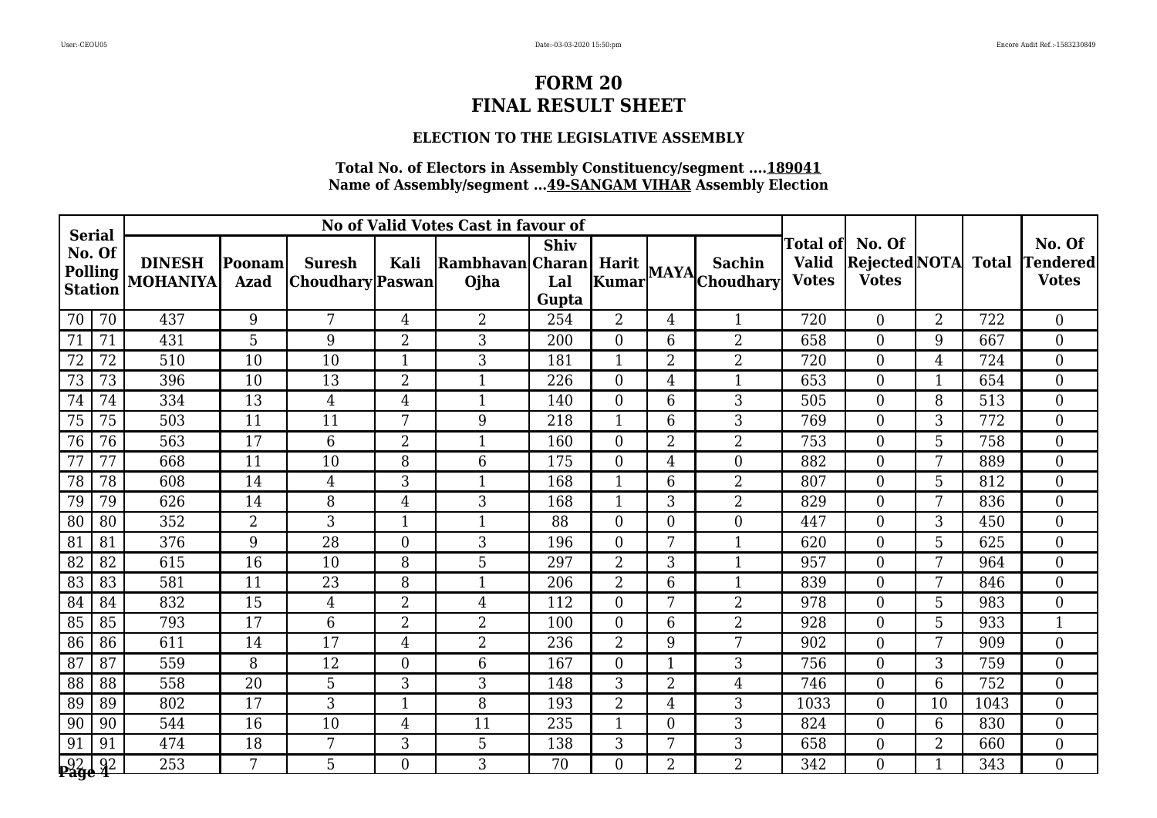### **ELECTION TO THE LEGISLATIVE ASSEMBLY**

|                                           |                 |                                  |                              |                                   |                  | No of Valid Votes Cast in favour of |                             |                |                |                      |                                           |                                         |                 |              |                                           |
|-------------------------------------------|-----------------|----------------------------------|------------------------------|-----------------------------------|------------------|-------------------------------------|-----------------------------|----------------|----------------|----------------------|-------------------------------------------|-----------------------------------------|-----------------|--------------|-------------------------------------------|
| <b>Serial</b><br>No. Of<br><b>Station</b> | <b>Polling</b>  | <b>DINESH</b><br><b>MOHANIYA</b> | <b>Poonam</b><br><b>Azad</b> | <b>Suresh</b><br>Choudhary Paswan | Kali             | Rambhavan Charan<br>Ojha            | <b>Shiv</b><br>Lal<br>Gupta |                |                | Harit MAYA Choudhary | Total ofl<br><b>Valid</b><br><b>Votes</b> | No. Of<br>Rejected NOTA<br><b>Votes</b> |                 | <b>Total</b> | No. Of<br><b>Tendered</b><br><b>Votes</b> |
| 70                                        | 70              | 437                              | 9                            | 7                                 | 4                | $\overline{2}$                      | 254                         | $\overline{2}$ | 4              | $\mathbf{1}$         | 720                                       | $\Omega$                                | $\overline{2}$  | 722          | $\overline{0}$                            |
| 71                                        | 71              | 431                              | 5                            | 9                                 | $\overline{2}$   | 3                                   | 200                         | $\overline{0}$ | 6              | $\overline{2}$       | 658                                       | $\boldsymbol{0}$                        | 9               | 667          | $\overline{0}$                            |
| 72                                        | 72              | 510                              | 10                           | 10                                | $\mathbf{1}$     | 3                                   | 181                         | $\mathbf{1}$   | $\overline{2}$ | $\overline{2}$       | 720                                       | $\overline{0}$                          | $\overline{4}$  | 724          | $\overline{0}$                            |
| 73                                        | 73              | 396                              | 10                           | 13                                | $\overline{2}$   | $\mathbf{1}$                        | 226                         | $\overline{0}$ | 4              | $\mathbf{1}$         | 653                                       | $\overline{0}$                          | $\mathbf{1}$    | 654          | $\overline{0}$                            |
| 74                                        | 74              | 334                              | 13                           | $\overline{4}$                    | $\overline{4}$   | $\mathbf{1}$                        | 140                         | $\overline{0}$ | 6              | 3                    | 505                                       | $\overline{0}$                          | 8               | 513          | $\overline{0}$                            |
| 75                                        | 75              | 503                              | 11                           | 11                                | 7                | 9                                   | 218                         | $\mathbf{1}$   | 6              | 3                    | 769                                       | $\overline{0}$                          | 3               | 772          | $\overline{0}$                            |
| 76                                        | 76              | 563                              | 17                           | 6                                 | $\overline{2}$   | $\mathbf{1}$                        | 160                         | $\overline{0}$ | $\overline{2}$ | $\overline{2}$       | 753                                       | $\overline{0}$                          | 5               | 758          | $\overline{0}$                            |
| 77                                        | $\overline{77}$ | 668                              | $\overline{11}$              | $\overline{10}$                   | 8                | $6\phantom{1}6$                     | 175                         | $\overline{0}$ | 4              | $\overline{0}$       | 882                                       | $\overline{0}$                          | 7               | 889          | $\overline{0}$                            |
| 78                                        | 78              | 608                              | 14                           | 4                                 | 3                | $\mathbf{1}$                        | 168                         | 1              | 6              | 2                    | 807                                       | $\overline{0}$                          | 5               | 812          | $\overline{0}$                            |
| 79                                        | 79              | 626                              | 14                           | 8                                 | 4                | 3                                   | 168                         | $\mathbf{1}$   | 3              | $\overline{2}$       | 829                                       | $\overline{0}$                          | 7               | 836          | $\overline{0}$                            |
| 80                                        | 80              | 352                              | $\overline{2}$               | 3                                 | $\mathbf{1}$     | $\mathbf{1}$                        | 88                          | $\overline{0}$ | $\overline{0}$ | $\overline{0}$       | 447                                       | $\overline{0}$                          | 3               | 450          | $\overline{0}$                            |
| 81                                        | 81              | 376                              | 9                            | 28                                | $\boldsymbol{0}$ | 3                                   | 196                         | $\overline{0}$ | 7              | $\mathbf{1}$         | 620                                       | $\overline{0}$                          | 5               | 625          | $\overline{0}$                            |
| 82                                        | 82              | 615                              | $\overline{16}$              | 10                                | 8                | 5                                   | 297                         | $\overline{2}$ | 3              | $\mathbf{1}$         | 957                                       | $\overline{0}$                          | 7               | 964          | $\overline{0}$                            |
| 83                                        | 83              | 581                              | 11                           | 23                                | 8                | $\mathbf{1}$                        | 206                         | $\overline{2}$ | 6              | $\mathbf{1}$         | 839                                       | $\overline{0}$                          | $7\overline{ }$ | 846          | $\overline{0}$                            |
| 84                                        | 84              | 832                              | 15                           | $\overline{4}$                    | $\overline{2}$   | $\overline{4}$                      | 112                         | $\overline{0}$ | 7              | $\overline{2}$       | 978                                       | $\overline{0}$                          | 5               | 983          | $\overline{0}$                            |
| 85                                        | 85              | 793                              | 17                           | 6                                 | $\overline{2}$   | 2                                   | 100                         | $\overline{0}$ | 6              | $\overline{2}$       | 928                                       | $\overline{0}$                          | 5               | 933          | $\mathbf{1}$                              |
| 86                                        | 86              | 611                              | 14                           | 17                                | $\overline{4}$   | $\overline{2}$                      | 236                         | $\overline{2}$ | 9              | 7                    | 902                                       | $\overline{0}$                          | 7               | 909          | $\overline{0}$                            |
| 87                                        | 87              | 559                              | 8                            | 12                                | $\theta$         | 6                                   | 167                         | $\overline{0}$ |                | 3                    | 756                                       | $\overline{0}$                          | 3               | 759          | $\overline{0}$                            |
| 88                                        | 88              | 558                              | 20                           | 5                                 | 3                | 3                                   | 148                         | 3              | $\overline{2}$ | $\overline{4}$       | 746                                       | $\overline{0}$                          | 6               | 752          | $\overline{0}$                            |
| 89                                        | 89              | 802                              | 17                           | 3                                 | $\mathbf{1}$     | 8                                   | 193                         | $\overline{2}$ | 4              | 3                    | 1033                                      | $\overline{0}$                          | 10              | 1043         | $\overline{0}$                            |
| 90                                        | 90              | 544                              | 16                           | 10                                | $\overline{4}$   | 11                                  | 235                         | 1              | $\overline{0}$ | 3                    | 824                                       | $\overline{0}$                          | 6               | 830          | $\overline{0}$                            |
| 91                                        | 91              | 474                              | 18                           | 7                                 | 3                | 5                                   | 138                         | 3              | 7              | 3                    | 658                                       | $\overline{0}$                          | $\overline{2}$  | 660          | $\overline{0}$                            |
| 92   92<br><b>Page 4</b>                  |                 | 253                              | 7                            | 5                                 | $\overline{0}$   | 3                                   | 70                          | $\overline{0}$ | $\overline{2}$ | $\overline{2}$       | 342                                       | $\overline{0}$                          |                 | 343          | $\overline{0}$                            |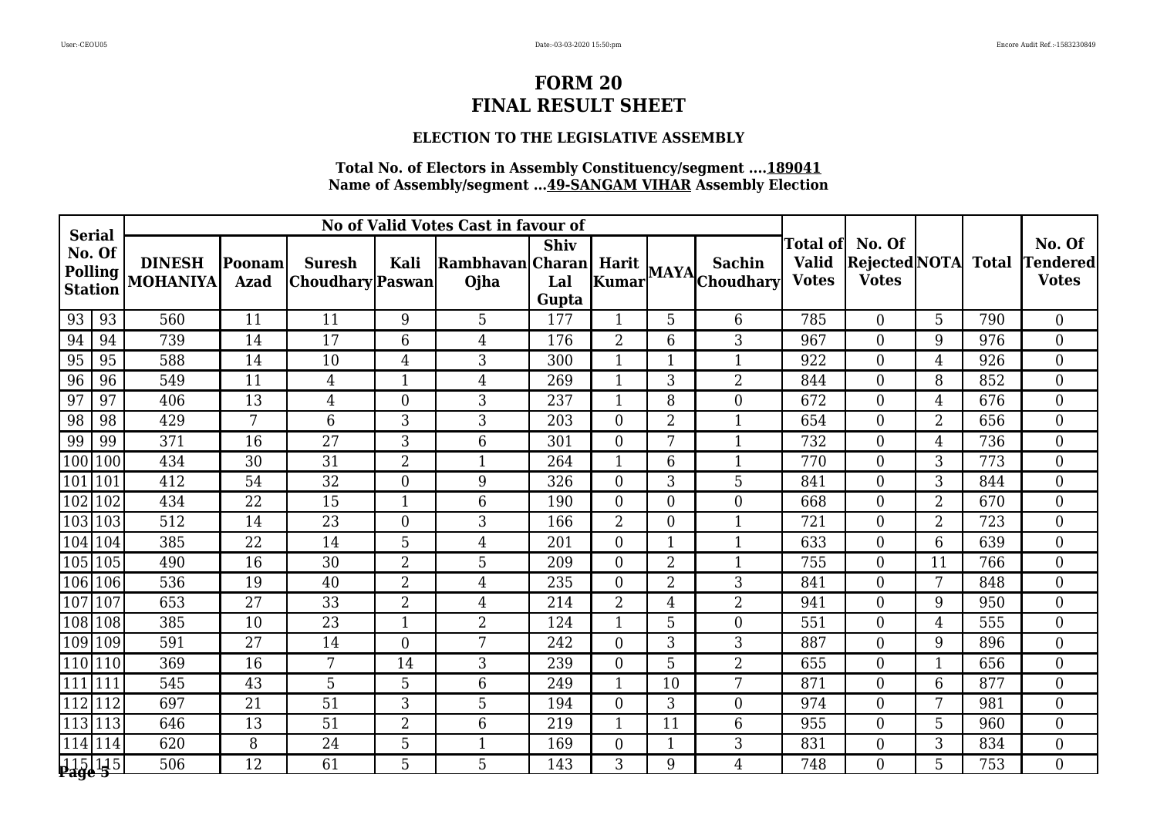### **ELECTION TO THE LEGISLATIVE ASSEMBLY**

|     |                                                             |                                  |                        |                                          |                | No of Valid Votes Cast in favour of |                             |                  |                |                      |                                                 |                                         |                |              |                                           |
|-----|-------------------------------------------------------------|----------------------------------|------------------------|------------------------------------------|----------------|-------------------------------------|-----------------------------|------------------|----------------|----------------------|-------------------------------------------------|-----------------------------------------|----------------|--------------|-------------------------------------------|
|     | <b>Serial</b><br>No. Of<br><b>Polling</b><br><b>Station</b> | <b>DINESH</b><br><b>MOHANIYA</b> | Poonam <br><b>Azad</b> | <b>Suresh</b><br><b>Choudhary</b> Paswan | Kali           | Rambhavan Charan<br>Ojha            | <b>Shiv</b><br>Lal<br>Gupta |                  |                | Harit MAYA Choudhary | <b>Total of</b><br><b>Valid</b><br><b>Votes</b> | No. Of<br>Rejected NOTA<br><b>Votes</b> |                | <b>Total</b> | No. Of<br><b>Tendered</b><br><b>Votes</b> |
| 93  | 93                                                          | 560                              | 11                     | 11                                       | 9              | 5                                   | 177                         |                  | 5              | 6                    | 785                                             | $\overline{0}$                          | 5              | 790          | $\overline{0}$                            |
| 94  | 94                                                          | 739                              | 14                     | 17                                       | 6              | $\overline{4}$                      | 176                         | $\overline{2}$   | 6              | 3                    | 967                                             | $\overline{0}$                          | 9              | 976          | $\overline{0}$                            |
| 95  | 95                                                          | 588                              | 14                     | 10                                       | $\overline{4}$ | 3                                   | 300                         | $\mathbf{1}$     | 1              | $\mathbf{1}$         | 922                                             | $\overline{0}$                          | $\overline{4}$ | 926          | $\overline{0}$                            |
| 96  | 96                                                          | 549                              | 11                     | $\overline{4}$                           | $\mathbf{1}$   | $\overline{4}$                      | 269                         | 1                | 3              | $\overline{2}$       | 844                                             | $\overline{0}$                          | 8              | 852          | $\overline{0}$                            |
| 97  | 97                                                          | 406                              | 13                     | 4                                        | $\theta$       | 3                                   | 237                         | 1                | 8              | $\overline{0}$       | 672                                             | $\overline{0}$                          | $\overline{4}$ | 676          | $\overline{0}$                            |
| 98  | 98                                                          | 429                              | 7                      | $\overline{6}$                           | 3              | 3                                   | 203                         | $\overline{0}$   | $\overline{2}$ | $\mathbf{1}$         | 654                                             | $\overline{0}$                          | $\overline{2}$ | 656          | $\overline{0}$                            |
| 99  | 99                                                          | 371                              | 16                     | 27                                       | 3              | $6\phantom{.}6$                     | 301                         | $\overline{0}$   | 7              | $\mathbf{1}$         | 732                                             | $\overline{0}$                          | $\overline{4}$ | 736          | $\overline{0}$                            |
| 100 | 100                                                         | 434                              | $\overline{30}$        | $\overline{31}$                          | $\overline{2}$ | $\mathbf{1}$                        | 264                         | 1                | 6              | $\mathbf{1}$         | 770                                             | $\Omega$                                | 3              | 773          | $\overline{0}$                            |
|     | 101 101                                                     | 412                              | 54                     | 32                                       | $\overline{0}$ | 9                                   | 326                         | $\overline{0}$   | 3              | 5                    | 841                                             | $\overline{0}$                          | 3              | 844          | $\overline{0}$                            |
|     | 102 102                                                     | 434                              | 22                     | 15                                       | $\mathbf{1}$   | $6\phantom{.}6$                     | 190                         | $\boldsymbol{0}$ | $\Omega$       | $\boldsymbol{0}$     | 668                                             | $\overline{0}$                          | $\overline{2}$ | 670          | $\overline{0}$                            |
|     | 103 103                                                     | 512                              | 14                     | 23                                       | $\theta$       | 3                                   | 166                         | $\overline{2}$   | $\Omega$       | $\mathbf{1}$         | 721                                             | $\overline{0}$                          | $\overline{2}$ | 723          | $\overline{0}$                            |
|     | 104 104                                                     | 385                              | 22                     | 14                                       | 5              | $\overline{4}$                      | 201                         | $\boldsymbol{0}$ |                | $\overline{1}$       | 633                                             | $\overline{0}$                          | 6              | 639          | $\overline{0}$                            |
|     | 105 105                                                     | 490                              | $\overline{16}$        | $\overline{30}$                          | $\overline{2}$ | 5                                   | 209                         | $\overline{0}$   | $\overline{2}$ | $\mathbf{1}$         | 755                                             | $\overline{0}$                          | 11             | 766          | $\overline{0}$                            |
| 106 | 106                                                         | 536                              | 19                     | 40                                       | $\overline{2}$ | $\overline{4}$                      | 235                         | $\overline{0}$   | $\overline{2}$ | 3                    | 841                                             | $\theta$                                | 7              | 848          | $\overline{0}$                            |
|     | 107 107                                                     | 653                              | 27                     | 33                                       | $\overline{2}$ | $\overline{4}$                      | 214                         | $\overline{2}$   | 4              | $\overline{2}$       | 941                                             | $\Omega$                                | 9              | 950          | $\overline{0}$                            |
|     | 108 108                                                     | 385                              | 10                     | 23                                       | $\mathbf{1}$   | $\overline{2}$                      | 124                         | 1                | 5              | $\boldsymbol{0}$     | 551                                             | $\overline{0}$                          | $\overline{4}$ | 555          | $\overline{0}$                            |
|     | 109 109                                                     | 591                              | 27                     | 14                                       | $\theta$       | 7                                   | 242                         | $\Omega$         | 3              | 3                    | 887                                             | $\Omega$                                | 9              | 896          | $\overline{0}$                            |
|     | 110 110                                                     | 369                              | 16                     | 7                                        | 14             | 3                                   | 239                         | $\Omega$         | 5              | $\overline{2}$       | 655                                             | $\overline{0}$                          | 1              | 656          | $\overline{0}$                            |
|     | 111 111                                                     | 545                              | 43                     | 5                                        | 5              | 6                                   | 249                         |                  | 10             | 7                    | 871                                             | $\overline{0}$                          | 6              | 877          | $\overline{0}$                            |
|     | 112 112                                                     | 697                              | 21                     | 51                                       | 3              | 5                                   | 194                         | $\overline{0}$   | 3              | $\overline{0}$       | 974                                             | $\overline{0}$                          | 7              | 981          | $\overline{0}$                            |
|     | 113 113                                                     | 646                              | 13                     | 51                                       | $\overline{2}$ | $6\phantom{1}$                      | 219                         | 1                | 11             | 6                    | 955                                             | $\overline{0}$                          | 5              | 960          | $\overline{0}$                            |
|     | 114 114                                                     | 620                              | 8                      | 24                                       | 5              | $\mathbf{1}$                        | 169                         | $\boldsymbol{0}$ |                | 3                    | 831                                             | $\overline{0}$                          | 3              | 834          | $\overline{0}$                            |
|     | 115  115 <br><b>Page 5</b>                                  | 506                              | 12                     | 61                                       | 5              | 5                                   | 143                         | 3                | 9              | $\overline{4}$       | 748                                             | $\Omega$                                | 5              | 753          | $\overline{0}$                            |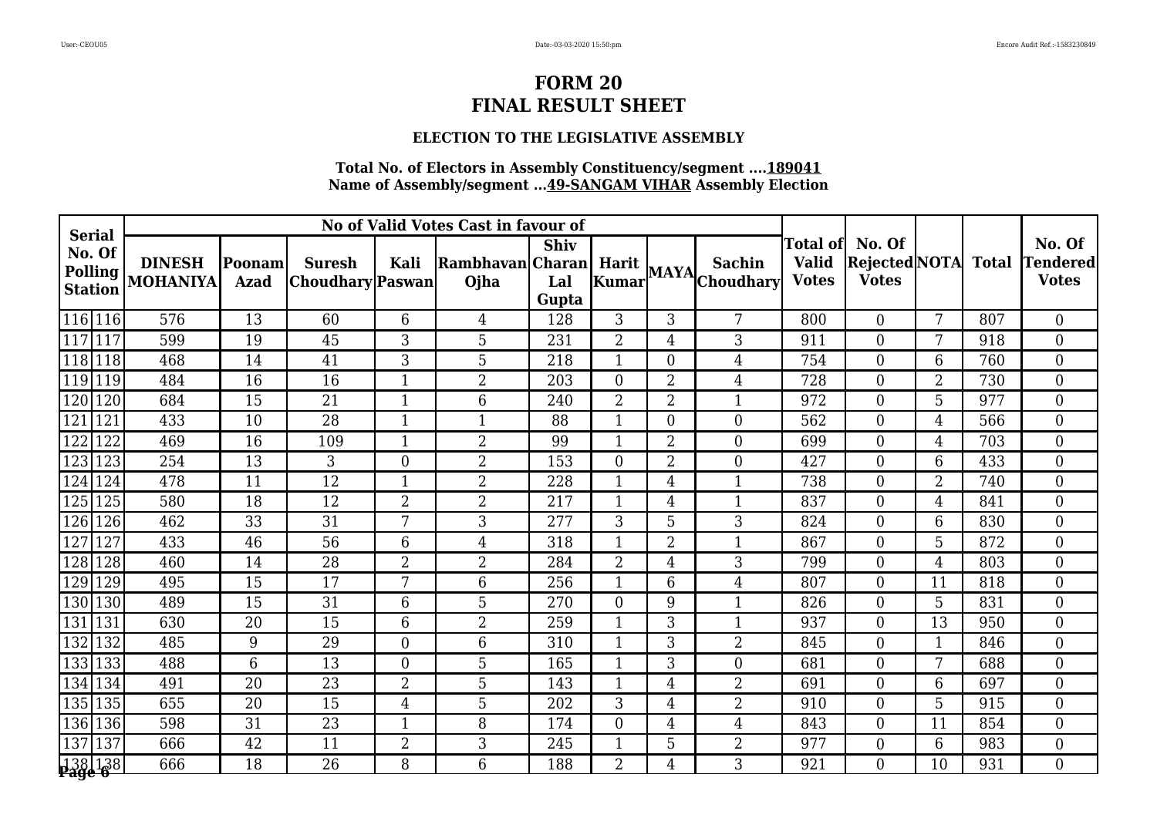### **ELECTION TO THE LEGISLATIVE ASSEMBLY**

|                                                             |                                  |                        |                                          |                 | No of Valid Votes Cast in favour of |                             |                  |                |                      |                                                 |                                         |                |              |                                           |
|-------------------------------------------------------------|----------------------------------|------------------------|------------------------------------------|-----------------|-------------------------------------|-----------------------------|------------------|----------------|----------------------|-------------------------------------------------|-----------------------------------------|----------------|--------------|-------------------------------------------|
| <b>Serial</b><br>No. Of<br><b>Polling</b><br><b>Station</b> | <b>DINESH</b><br><b>MOHANIYA</b> | Poonam <br><b>Azad</b> | <b>Suresh</b><br><b>Choudhary</b> Paswan | Kali            | Rambhavan Charan<br>Ojha            | <b>Shiv</b><br>Lal<br>Gupta |                  |                | Harit MAYA Choudhary | <b>Total of</b><br><b>Valid</b><br><b>Votes</b> | No. Of<br>Rejected NOTA<br><b>Votes</b> |                | <b>Total</b> | No. Of<br><b>Tendered</b><br><b>Votes</b> |
| $\overline{116}$  116                                       | 576                              | 13                     | 60                                       | 6               | $\overline{4}$                      | 128                         | 3                | 3              | 7                    | 800                                             | $\overline{0}$                          | 7              | 807          | $\overline{0}$                            |
| 117 117                                                     | 599                              | 19                     | 45                                       | 3               | 5                                   | 231                         | $\overline{2}$   | 4              | 3                    | 911                                             | $\overline{0}$                          | 7              | 918          | $\overline{0}$                            |
| 118 118                                                     | 468                              | 14                     | 41                                       | 3               | 5                                   | 218                         | 1                | $\Omega$       | $\overline{4}$       | 754                                             | $\overline{0}$                          | 6              | 760          | $\overline{0}$                            |
| 119 119                                                     | 484                              | $\overline{16}$        | 16                                       | $\mathbf{1}$    | 2                                   | 203                         | $\boldsymbol{0}$ | $\overline{2}$ | $\overline{4}$       | 728                                             | $\overline{0}$                          | $\overline{2}$ | 730          | $\overline{0}$                            |
| 120<br>120                                                  | 684                              | 15                     | $\overline{21}$                          |                 | 6                                   | 240                         | $\overline{2}$   | $\overline{2}$ | $\mathbf{1}$         | 972                                             | $\overline{0}$                          | 5              | 977          | $\overline{0}$                            |
| 121<br>121                                                  | 433                              | 10                     | 28                                       | 1               | $\mathbf{1}$                        | 88                          | 1                | $\Omega$       | $\boldsymbol{0}$     | 562                                             | $\overline{0}$                          | $\overline{4}$ | 566          | $\overline{0}$                            |
| 122<br>122                                                  | 469                              | 16                     | 109                                      | $\mathbf{1}$    | $\overline{2}$                      | 99                          | 1                | $\overline{2}$ | $\overline{0}$       | 699                                             | $\overline{0}$                          | $\overline{4}$ | 703          | $\overline{0}$                            |
| 123<br>$ 123\rangle$                                        | 254                              | $\overline{13}$        | 3                                        | $\Omega$        | $\overline{2}$                      | 153                         | $\theta$         | $\overline{2}$ | $\overline{0}$       | 427                                             | $\Omega$                                | 6              | 433          | $\overline{0}$                            |
| 124 124                                                     | 478                              | 11                     | 12                                       |                 | $\overline{2}$                      | 228                         | 1                | 4              | $\mathbf 1$          | 738                                             | $\overline{0}$                          | $\overline{2}$ | 740          | $\overline{0}$                            |
| 125<br>125                                                  | 580                              | 18                     | 12                                       | $\overline{2}$  | $\overline{2}$                      | 217                         | $\mathbf{1}$     | 4              | $\mathbf{1}$         | 837                                             | $\overline{0}$                          | 4              | 841          | $\overline{0}$                            |
| 126<br>126                                                  | 462                              | 33                     | 31                                       | 7               | 3                                   | 277                         | 3                | 5              | 3                    | 824                                             | $\overline{0}$                          | 6              | 830          | $\overline{0}$                            |
| 127<br>127                                                  | 433                              | 46                     | 56                                       | $6\phantom{1}6$ | $\overline{4}$                      | 318                         |                  | 2              | 1                    | 867                                             | $\overline{0}$                          | 5              | 872          | $\overline{0}$                            |
| 128<br>128                                                  | 460                              | 14                     | $\overline{28}$                          | $\overline{2}$  | $\overline{2}$                      | 284                         | $\overline{2}$   | 4              | 3                    | 799                                             | $\overline{0}$                          | $\overline{4}$ | 803          | $\overline{0}$                            |
| 129<br>129                                                  | 495                              | 15                     | 17                                       | 7               | 6                                   | 256                         | 1                | 6              | $\overline{4}$       | 807                                             | $\theta$                                | 11             | 818          | $\overline{0}$                            |
| 130 130                                                     | 489                              | 15                     | 31                                       | 6               | 5                                   | 270                         | $\overline{0}$   | 9              | $\mathbf 1$          | 826                                             | $\overline{0}$                          | 5              | 831          | $\overline{0}$                            |
| 131 131                                                     | 630                              | 20                     | 15                                       | 6               | $\overline{2}$                      | 259                         | 1                | 3              | $\mathbf{1}$         | 937                                             | $\overline{0}$                          | 13             | 950          | $\overline{0}$                            |
| $ 132\rangle$<br>132                                        | 485                              | 9                      | 29                                       | $\theta$        | 6                                   | 310                         | $\mathbf{1}$     | 3              | $\overline{2}$       | 845                                             | $\Omega$                                | $\mathbf{1}$   | 846          | $\overline{0}$                            |
| 133 133                                                     | 488                              | 6                      | 13                                       | $\theta$        | 5                                   | 165                         |                  | 3              | $\overline{0}$       | 681                                             | $\overline{0}$                          | 7              | 688          | $\overline{0}$                            |
| 134   134                                                   | 491                              | 20                     | 23                                       | $\overline{2}$  | 5                                   | 143                         |                  | 4              | $\overline{2}$       | 691                                             | $\overline{0}$                          | 6              | 697          | $\overline{0}$                            |
| 135 135                                                     | 655                              | 20                     | 15                                       | 4               | 5                                   | 202                         | 3                | 4              | $\overline{2}$       | 910                                             | $\overline{0}$                          | 5              | 915          | $\overline{0}$                            |
| 136 136                                                     | 598                              | 31                     | 23                                       | $\mathbf{1}$    | 8                                   | 174                         | $\overline{0}$   | 4              | $\overline{4}$       | 843                                             | $\overline{0}$                          | 11             | 854          | $\overline{0}$                            |
| 137 137                                                     | 666                              | $\overline{42}$        | 11                                       | $\overline{2}$  | 3                                   | 245                         | 1                | 5              | $\overline{2}$       | 977                                             | $\overline{0}$                          | 6              | 983          | $\overline{0}$                            |
| 138  138 <br><b> <del>1</del>38  138</b>                    | 666                              | 18                     | 26                                       | 8               | 6                                   | 188                         | $\overline{2}$   | 4              | 3                    | 921                                             | $\Omega$                                | 10             | 931          | $\overline{0}$                            |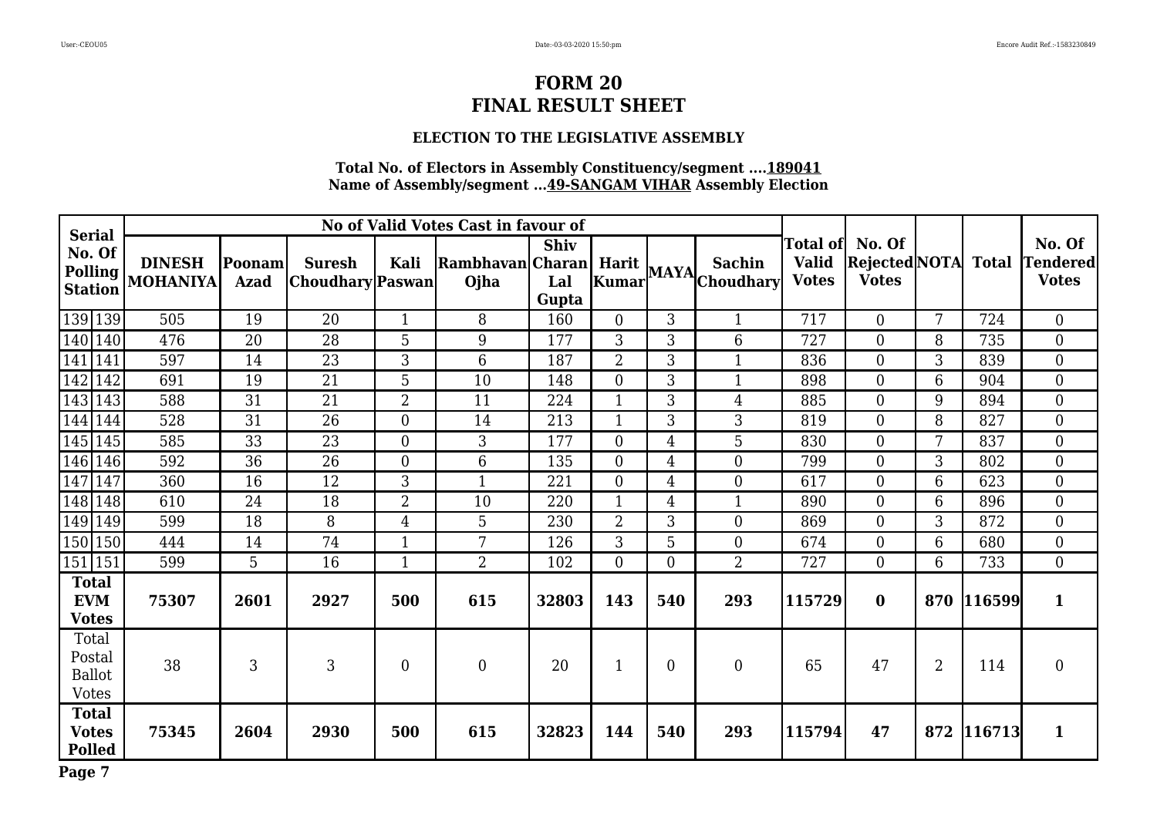### **ELECTION TO THE LEGISLATIVE ASSEMBLY**

### **Total No. of Electors in Assembly Constituency/segment ....189041 Name of Assembly/segment ...49-SANGAM VIHAR Assembly Election**

| <b>Serial</b>                                    |                                  |                       |                                   |                | No of Valid Votes Cast in favour of |                             |                         |                |                                   |                              |                                                         |                |              |                                     |
|--------------------------------------------------|----------------------------------|-----------------------|-----------------------------------|----------------|-------------------------------------|-----------------------------|-------------------------|----------------|-----------------------------------|------------------------------|---------------------------------------------------------|----------------|--------------|-------------------------------------|
| No. Of<br>Polling  <br><b>Station</b>            | <b>DINESH</b><br><b>MOHANIYA</b> | Poonam<br><b>Azad</b> | <b>Suresh</b><br>Choudhary Paswan | Kali           | <b>Rambhavan</b> Charan<br>Ojha     | <b>Shiv</b><br>Lal<br>Gupta | Harit  <br><b>Kumar</b> |                | <b>Sachin</b><br>$MAYA$ Choudhary | <b>Valid</b><br><b>Votes</b> | Total of No. Of<br><b>Rejected</b> NOTA<br><b>Votes</b> |                | <b>Total</b> | No. Of<br>Tendered <br><b>Votes</b> |
| 139 139                                          | 505                              | 19                    | 20                                | $\mathbf{1}$   | 8                                   | 160                         | $\Omega$                | 3              | $\mathbf{1}$                      | 717                          | $\overline{0}$                                          | 7              | 724          | $\overline{0}$                      |
| 140 140                                          | 476                              | 20                    | 28                                | 5              | 9                                   | 177                         | 3                       | 3              | 6                                 | 727                          | $\overline{0}$                                          | 8              | 735          | $\overline{0}$                      |
| 141   141                                        | 597                              | 14                    | 23                                | 3              | 6                                   | 187                         | $\overline{2}$          | 3              | $\mathbf{1}$                      | 836                          | $\overline{0}$                                          | 3              | 839          | $\overline{0}$                      |
| 142 142                                          | 691                              | 19                    | $\overline{21}$                   | 5              | 10                                  | 148                         | $\overline{0}$          | 3              | $\mathbf{1}$                      | 898                          | $\overline{0}$                                          | 6              | 904          | $\overline{0}$                      |
| 143 143                                          | 588                              | 31                    | $\overline{21}$                   | $\overline{2}$ | 11                                  | 224                         | 1                       | 3              | $\overline{4}$                    | 885                          | $\overline{0}$                                          | 9              | 894          | $\overline{0}$                      |
| 144   144                                        | 528                              | 31                    | 26                                | $\overline{0}$ | 14                                  | 213                         |                         | 3              | 3                                 | 819                          | $\overline{0}$                                          | 8              | 827          | $\boldsymbol{0}$                    |
| 145 145                                          | 585                              | 33                    | 23                                | $\Omega$       | 3                                   | 177                         | $\overline{0}$          | 4              | 5                                 | 830                          | $\Omega$                                                | 7              | 837          | $\overline{0}$                      |
| 146 146                                          | 592                              | 36                    | 26                                | $\overline{0}$ | $6\phantom{.}6$                     | 135                         | $\boldsymbol{0}$        | 4              | $\mathbf{0}$                      | 799                          | $\overline{0}$                                          | 3              | 802          | $\boldsymbol{0}$                    |
| 147<br>147                                       | 360                              | 16                    | 12                                | 3              | $\mathbf{1}$                        | 221                         | $\Omega$                | 4              | $\overline{0}$                    | 617                          | $\Omega$                                                | 6              | 623          | $\theta$                            |
| 148<br>148                                       | 610                              | 24                    | 18                                | $\overline{2}$ | 10                                  | 220                         |                         | 4              |                                   | 890                          | $\overline{0}$                                          | 6              | 896          | $\boldsymbol{0}$                    |
| 149 149                                          | 599                              | 18                    | 8                                 | $\overline{4}$ | 5                                   | 230                         | $\overline{2}$          | 3              | $\overline{0}$                    | 869                          | $\Omega$                                                | 3              | 872          | $\boldsymbol{0}$                    |
| 150   150                                        | 444                              | 14                    | 74                                |                | 7                                   | 126                         | 3                       | 5              | $\mathbf{0}$                      | 674                          | $\overline{0}$                                          | 6              | 680          | $\overline{0}$                      |
| 151 151                                          | 599                              | 5                     | 16                                | $\mathbf{1}$   | 2                                   | 102                         | $\Omega$                | $\Omega$       | $\overline{2}$                    | 727                          | $\Omega$                                                | 6              | 733          | $\overline{0}$                      |
| <b>Total</b><br><b>EVM</b><br><b>Votes</b>       | 75307                            | 2601                  | 2927                              | 500            | 615                                 | 32803                       | 143                     | 540            | 293                               | 115729                       | $\bf{0}$                                                | 870            | 116599       | $\mathbf{1}$                        |
| Total<br>Postal<br><b>Ballot</b><br><b>Votes</b> | 38                               | 3                     | 3                                 | $\overline{0}$ | $\boldsymbol{0}$                    | 20                          | $\mathbf{1}$            | $\overline{0}$ | $\mathbf{0}$                      | 65                           | 47                                                      | $\overline{2}$ | 114          | $\boldsymbol{0}$                    |
| <b>Total</b><br><b>Votes</b><br><b>Polled</b>    | 75345                            | 2604                  | 2930                              | 500            | 615                                 | 32823                       | 144                     | 540            | 293                               | 115794                       | 47                                                      |                | 872 116713   | $\mathbf{1}$                        |

**Page 7**